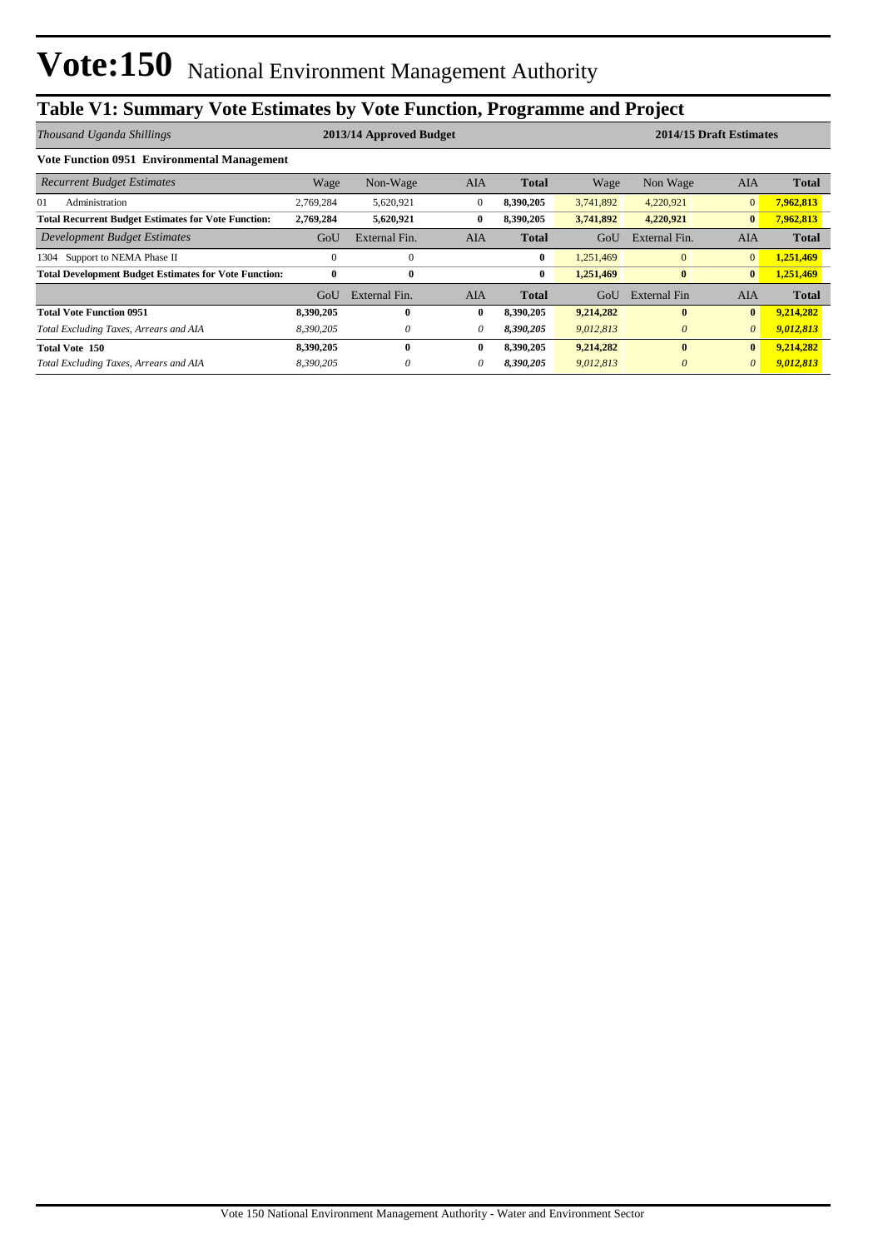## **Table V1: Summary Vote Estimates by Vote Function, Programme and Project**

| Thousand Uganda Shillings                                    | 2013/14 Approved Budget |               |            |              |           |               | 2014/15 Draft Estimates |              |
|--------------------------------------------------------------|-------------------------|---------------|------------|--------------|-----------|---------------|-------------------------|--------------|
| Vote Function 0951 Environmental Management                  |                         |               |            |              |           |               |                         |              |
| <b>Recurrent Budget Estimates</b>                            | Wage                    | Non-Wage      | <b>AIA</b> | <b>Total</b> | Wage      | Non Wage      | <b>AIA</b>              | <b>Total</b> |
| Administration<br>01                                         | 2,769,284               | 5,620,921     | $\theta$   | 8,390,205    | 3,741,892 | 4,220,921     | $\overline{0}$          | 7,962,813    |
| <b>Total Recurrent Budget Estimates for Vote Function:</b>   | 2,769,284               | 5,620,921     | 0          | 8,390,205    | 3,741,892 | 4,220,921     | $\bf{0}$                | 7,962,813    |
| Development Budget Estimates                                 | GoU                     | External Fin. | AIA        | <b>Total</b> | GoU       | External Fin. | <b>AIA</b>              | <b>Total</b> |
| 1304 Support to NEMA Phase II                                | $\theta$                | $\mathbf{0}$  |            | $\bf{0}$     | 1,251,469 | $\mathbf{0}$  | $\overline{0}$          | 1,251,469    |
| <b>Total Development Budget Estimates for Vote Function:</b> | $\bf{0}$                | $\bf{0}$      |            | $\bf{0}$     | 1,251,469 | $\bf{0}$      | $\bf{0}$                | 1,251,469    |
|                                                              | GoU                     | External Fin. | AIA        | <b>Total</b> | GoU       | External Fin  | AIA                     | <b>Total</b> |
| <b>Total Vote Function 0951</b>                              | 8,390,205               | $\mathbf{0}$  | $\bf{0}$   | 8,390,205    | 9,214,282 | $\mathbf{0}$  | $\bf{0}$                | 9,214,282    |
| Total Excluding Taxes, Arrears and AIA                       | 8,390,205               | $\theta$      | 0          | 8,390,205    | 9,012,813 | $\theta$      | $\theta$                | 9,012,813    |
| Total Vote 150                                               | 8,390,205               | $\mathbf{0}$  | $\bf{0}$   | 8,390,205    | 9,214,282 | $\bf{0}$      | $\bf{0}$                | 9,214,282    |
| Total Excluding Taxes, Arrears and AIA                       | 8,390,205               | $\theta$      | $\theta$   | 8,390,205    | 9,012,813 | $\theta$      | $\theta$                | 9,012,813    |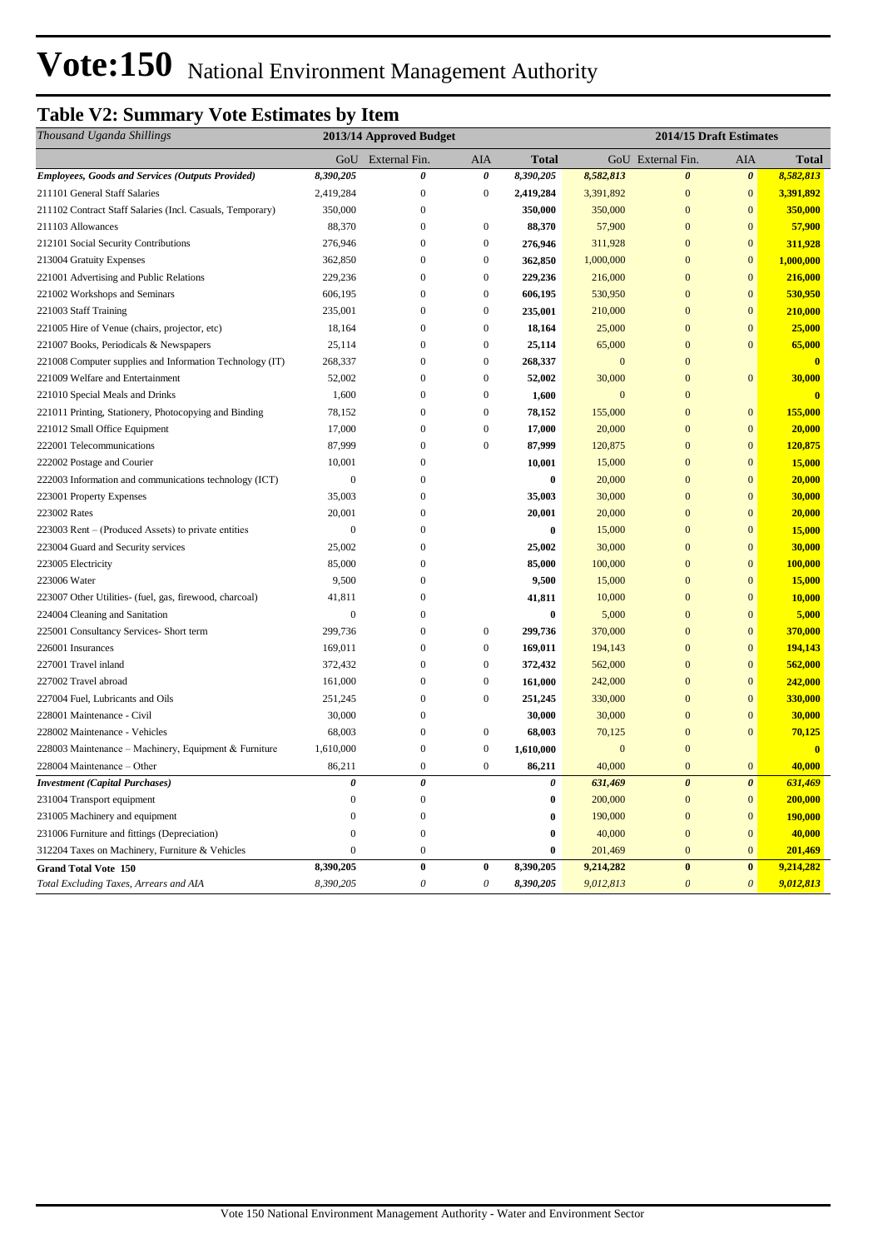# Vote:150 National Environment Management Authority

## **Table V2: Summary Vote Estimates by Item**

| Thousand Uganda Shillings                                 | 2013/14 Approved Budget |                   |                           |              | 2014/15 Draft Estimates |                       |                       |                         |
|-----------------------------------------------------------|-------------------------|-------------------|---------------------------|--------------|-------------------------|-----------------------|-----------------------|-------------------------|
|                                                           |                         | GoU External Fin. | AIA                       | <b>Total</b> |                         | GoU External Fin.     | AIA                   | <b>Total</b>            |
| <b>Employees, Goods and Services (Outputs Provided)</b>   | 8,390,205               | 0                 | $\boldsymbol{\theta}$     | 8,390,205    | 8,582,813               | $\boldsymbol{\theta}$ | $\boldsymbol{\theta}$ | 8,582,813               |
| 211101 General Staff Salaries                             | 2,419,284               | $\overline{0}$    | $\boldsymbol{0}$          | 2,419,284    | 3,391,892               | $\overline{0}$        | $\mathbf{0}$          | 3,391,892               |
| 211102 Contract Staff Salaries (Incl. Casuals, Temporary) | 350,000                 | $\mathbf{0}$      |                           | 350,000      | 350,000                 | $\mathbf{0}$          | $\mathbf{0}$          | 350,000                 |
| 211103 Allowances                                         | 88,370                  | $\overline{0}$    | $\overline{0}$            | 88,370       | 57,900                  | $\overline{0}$        | $\overline{0}$        | 57,900                  |
| 212101 Social Security Contributions                      | 276,946                 | $\Omega$          | $\boldsymbol{0}$          | 276,946      | 311,928                 | $\Omega$              | $\mathbf{0}$          | 311,928                 |
| 213004 Gratuity Expenses                                  | 362,850                 | $\boldsymbol{0}$  | $\boldsymbol{0}$          | 362,850      | 1,000,000               | $\mathbf{0}$          | $\mathbf{0}$          | 1,000,000               |
| 221001 Advertising and Public Relations                   | 229,236                 | $\boldsymbol{0}$  | $\boldsymbol{0}$          | 229,236      | 216,000                 | $\mathbf{0}$          | $\mathbf{0}$          | 216,000                 |
| 221002 Workshops and Seminars                             | 606,195                 | $\mathbf{0}$      | $\boldsymbol{0}$          | 606,195      | 530,950                 | $\mathbf{0}$          | $\mathbf{0}$          | 530,950                 |
| 221003 Staff Training                                     | 235,001                 | $\boldsymbol{0}$  | $\boldsymbol{0}$          | 235,001      | 210,000                 | $\mathbf{0}$          | $\mathbf{0}$          | 210,000                 |
| 221005 Hire of Venue (chairs, projector, etc)             | 18,164                  | $\overline{0}$    | $\mathbf{0}$              | 18,164       | 25,000                  | $\mathbf{0}$          | $\overline{0}$        | 25,000                  |
| 221007 Books, Periodicals & Newspapers                    | 25,114                  | $\overline{0}$    | $\boldsymbol{0}$          | 25,114       | 65,000                  | $\overline{0}$        | $\mathbf{0}$          | 65,000                  |
| 221008 Computer supplies and Information Technology (IT)  | 268,337                 | $\overline{0}$    | $\overline{0}$            | 268,337      | $\overline{0}$          | $\overline{0}$        |                       | $\overline{\mathbf{0}}$ |
| 221009 Welfare and Entertainment                          | 52,002                  | $\overline{0}$    | $\overline{0}$            | 52,002       | 30,000                  | $\overline{0}$        | $\mathbf{0}$          | 30,000                  |
| 221010 Special Meals and Drinks                           | 1,600                   | $\overline{0}$    | $\boldsymbol{0}$          | 1,600        | $\mathbf{0}$            | $\mathbf{0}$          |                       | $\bf{0}$                |
| 221011 Printing, Stationery, Photocopying and Binding     | 78,152                  | $\boldsymbol{0}$  | $\boldsymbol{0}$          | 78,152       | 155,000                 | $\Omega$              | $\mathbf{0}$          | 155,000                 |
| 221012 Small Office Equipment                             | 17,000                  | $\mathbf{0}$      | $\boldsymbol{0}$          | 17,000       | 20,000                  | $\mathbf{0}$          | $\mathbf{0}$          | 20,000                  |
| 222001 Telecommunications                                 | 87,999                  | $\boldsymbol{0}$  | $\boldsymbol{0}$          | 87,999       | 120,875                 | $\mathbf{0}$          | $\mathbf{0}$          | 120,875                 |
| 222002 Postage and Courier                                | 10,001                  | $\mathbf{0}$      |                           | 10,001       | 15,000                  | $\mathbf{0}$          | $\mathbf{0}$          | 15,000                  |
| 222003 Information and communications technology (ICT)    | $\Omega$                | $\overline{0}$    |                           | $\bf{0}$     | 20,000                  | $\mathbf{0}$          | $\overline{0}$        | 20,000                  |
| 223001 Property Expenses                                  | 35,003                  | $\mathbf{0}$      |                           | 35,003       | 30,000                  | $\mathbf{0}$          | $\mathbf{0}$          | 30,000                  |
| 223002 Rates                                              | 20,001                  | $\mathbf{0}$      |                           | 20,001       | 20,000                  | $\mathbf{0}$          | $\overline{0}$        | 20,000                  |
| 223003 Rent – (Produced Assets) to private entities       | $\theta$                | $\mathbf{0}$      |                           | $\bf{0}$     | 15,000                  | $\overline{0}$        | $\overline{0}$        | 15,000                  |
| 223004 Guard and Security services                        | 25,002                  | $\overline{0}$    |                           | 25,002       | 30,000                  | $\overline{0}$        | $\overline{0}$        | 30,000                  |
| 223005 Electricity                                        | 85,000                  | $\overline{0}$    |                           | 85,000       | 100,000                 | $\overline{0}$        | $\overline{0}$        | 100,000                 |
| 223006 Water                                              | 9,500                   | $\boldsymbol{0}$  |                           | 9,500        | 15,000                  | $\mathbf{0}$          | $\mathbf{0}$          | 15,000                  |
| 223007 Other Utilities- (fuel, gas, firewood, charcoal)   | 41,811                  | $\boldsymbol{0}$  |                           | 41,811       | 10,000                  | $\mathbf{0}$          | $\mathbf{0}$          | 10,000                  |
| 224004 Cleaning and Sanitation                            | $\mathbf{0}$            | $\mathbf{0}$      |                           | $\bf{0}$     | 5,000                   | $\mathbf{0}$          | $\mathbf{0}$          | 5,000                   |
| 225001 Consultancy Services- Short term                   | 299,736                 | $\boldsymbol{0}$  | $\boldsymbol{0}$          | 299,736      | 370,000                 | $\mathbf{0}$          | $\mathbf{0}$          | 370,000                 |
| 226001 Insurances                                         | 169,011                 | $\boldsymbol{0}$  | $\boldsymbol{0}$          | 169,011      | 194,143                 | $\overline{0}$        | $\mathbf{0}$          | 194,143                 |
| 227001 Travel inland                                      | 372,432                 | $\overline{0}$    | $\overline{0}$            | 372,432      | 562,000                 | $\overline{0}$        | $\overline{0}$        | 562,000                 |
| 227002 Travel abroad                                      | 161,000                 | $\boldsymbol{0}$  | $\boldsymbol{0}$          | 161,000      | 242,000                 | $\mathbf{0}$          | $\mathbf{0}$          | 242,000                 |
| 227004 Fuel, Lubricants and Oils                          | 251,245                 | $\overline{0}$    | $\mathbf{0}$              | 251,245      | 330,000                 | $\overline{0}$        | $\overline{0}$        | 330,000                 |
| 228001 Maintenance - Civil                                | 30,000                  | $\overline{0}$    |                           | 30,000       | 30,000                  | $\overline{0}$        | $\overline{0}$        | 30,000                  |
| 228002 Maintenance - Vehicles                             | 68,003                  | $\overline{0}$    | $\boldsymbol{0}$          | 68,003       | 70,125                  | $\overline{0}$        | $\theta$              | 70,125                  |
| 228003 Maintenance – Machinery, Equipment & Furniture     | 1,610,000               | $\boldsymbol{0}$  | $\boldsymbol{0}$          | 1,610,000    | $\mathbf{0}$            | $\mathbf{0}$          |                       | $\overline{\mathbf{0}}$ |
| 228004 Maintenance - Other                                | 86,211                  | $\mathbf{0}$      | $\boldsymbol{0}$          | 86,211       | 40,000                  | $\mathbf{0}$          | $\mathbf{0}$          | 40,000                  |
| <b>Investment</b> (Capital Purchases)                     | 0                       | 0                 |                           | 0            | 631,469                 | $\boldsymbol{\theta}$ | $\boldsymbol{\theta}$ | 631,469                 |
| 231004 Transport equipment                                | $\overline{0}$          | $\mathbf{0}$      |                           | $\bf{0}$     | 200,000                 | $\mathbf{0}$          | $\mathbf{0}$          | 200,000                 |
| 231005 Machinery and equipment                            | $\Omega$                | $\boldsymbol{0}$  |                           | $\bf{0}$     | 190,000                 | $\mathbf{0}$          | $\mathbf{0}$          | 190,000                 |
| 231006 Furniture and fittings (Depreciation)              | $\overline{0}$          | $\boldsymbol{0}$  |                           | $\bf{0}$     | 40,000                  | $\overline{0}$        | $\mathbf{0}$          | 40,000                  |
| 312204 Taxes on Machinery, Furniture & Vehicles           | $\overline{0}$          | $\boldsymbol{0}$  |                           | $\bf{0}$     | 201,469                 | $\mathbf{0}$          | $\mathbf{0}$          | 201,469                 |
| <b>Grand Total Vote 150</b>                               | 8,390,205               | $\pmb{0}$         | $\boldsymbol{0}$          | 8,390,205    | 9,214,282               | $\bf{0}$              | $\pmb{0}$             | 9,214,282               |
| Total Excluding Taxes, Arrears and AIA                    | 8,390,205               | $\theta$          | $\boldsymbol{\mathit{0}}$ | 8,390,205    | 9,012,813               | $\theta$              | $\boldsymbol{\theta}$ | 9,012,813               |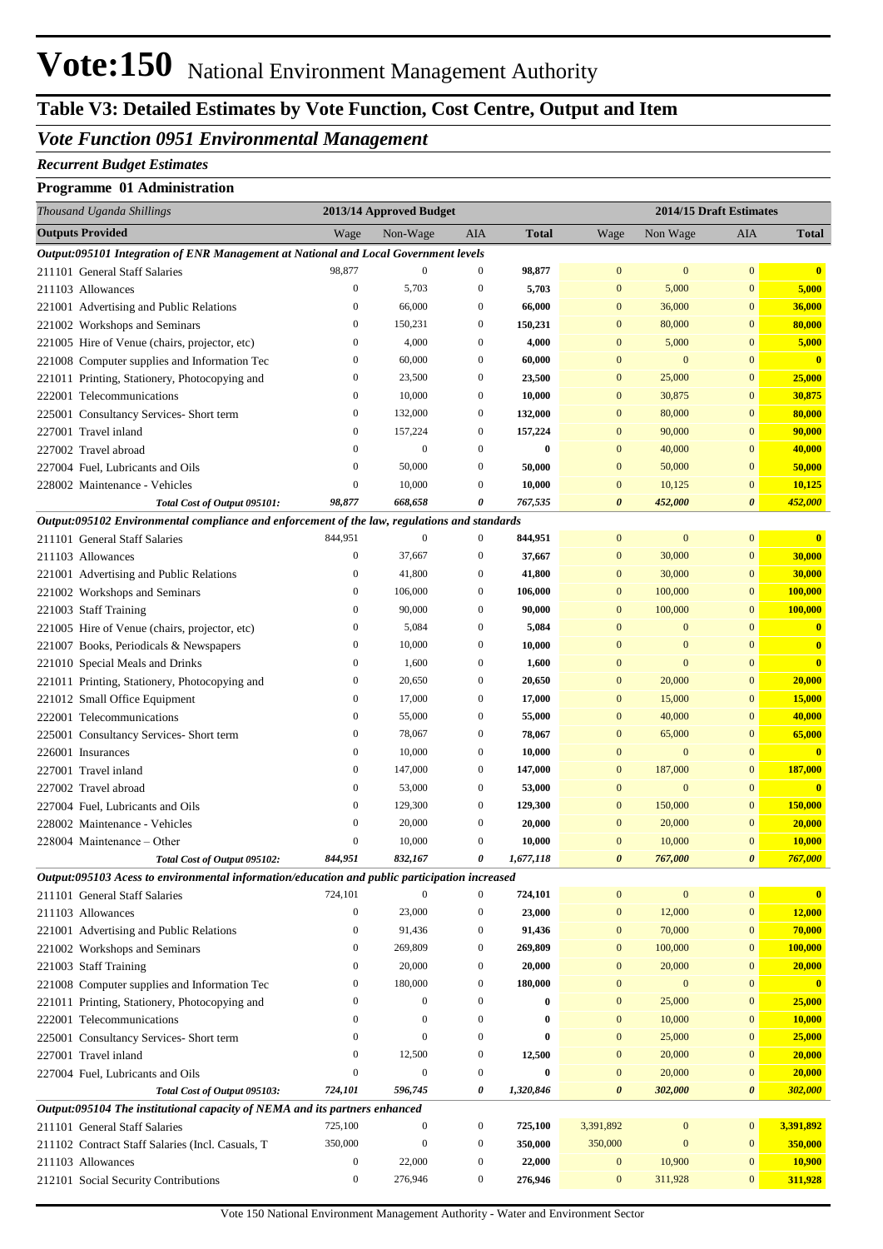## **Table V3: Detailed Estimates by Vote Function, Cost Centre, Output and Item**

#### *Vote Function 0951 Environmental Management*

#### *Recurrent Budget Estimates*

#### **Programme 01 Administration**

| Thousand Uganda Shillings                                                                                                      |                  | 2013/14 Approved Budget |                  |              |                       |                  | 2014/15 Draft Estimates           |                         |
|--------------------------------------------------------------------------------------------------------------------------------|------------------|-------------------------|------------------|--------------|-----------------------|------------------|-----------------------------------|-------------------------|
| <b>Outputs Provided</b>                                                                                                        | Wage             | Non-Wage                | AIA              | <b>Total</b> | Wage                  | Non Wage         | AIA                               | <b>Total</b>            |
| Output:095101 Integration of ENR Management at National and Local Government levels                                            |                  |                         |                  |              |                       |                  |                                   |                         |
| 211101 General Staff Salaries                                                                                                  | 98,877           | $\mathbf{0}$            | $\boldsymbol{0}$ | 98,877       | $\mathbf{0}$          | $\mathbf{0}$     | $\mathbf{0}$                      | $\mathbf{0}$            |
| 211103 Allowances                                                                                                              | $\boldsymbol{0}$ | 5,703                   | $\boldsymbol{0}$ | 5,703        | $\mathbf{0}$          | 5,000            | $\boldsymbol{0}$                  | 5,000                   |
| 221001 Advertising and Public Relations                                                                                        | $\boldsymbol{0}$ | 66,000                  | $\boldsymbol{0}$ | 66,000       | $\mathbf{0}$          | 36,000           | $\mathbf{0}$                      | 36,000                  |
| 221002 Workshops and Seminars                                                                                                  | $\boldsymbol{0}$ | 150,231                 | $\boldsymbol{0}$ | 150,231      | $\mathbf{0}$          | 80,000           | $\overline{0}$                    | 80,000                  |
| 221005 Hire of Venue (chairs, projector, etc)                                                                                  | $\boldsymbol{0}$ | 4,000                   | $\boldsymbol{0}$ | 4,000        | $\mathbf{0}$          | 5,000            | $\mathbf{0}$                      | 5,000                   |
| 221008 Computer supplies and Information Tec                                                                                   | $\boldsymbol{0}$ | 60,000                  | $\boldsymbol{0}$ | 60,000       | $\mathbf{0}$          | $\mathbf{0}$     | $\overline{0}$                    | $\mathbf{0}$            |
| 221011 Printing, Stationery, Photocopying and                                                                                  | $\boldsymbol{0}$ | 23,500                  | $\boldsymbol{0}$ | 23,500       | $\mathbf{0}$          | 25,000           | $\mathbf{0}$                      | 25,000                  |
| 222001 Telecommunications                                                                                                      | $\boldsymbol{0}$ | 10,000                  | $\boldsymbol{0}$ | 10,000       | $\mathbf{0}$          | 30,875           | $\mathbf{0}$                      | 30,875                  |
| 225001 Consultancy Services- Short term                                                                                        | $\boldsymbol{0}$ | 132,000                 | $\boldsymbol{0}$ | 132,000      | $\mathbf{0}$          | 80,000           | $\mathbf{0}$                      | 80,000                  |
| 227001 Travel inland                                                                                                           | $\boldsymbol{0}$ | 157,224                 | $\boldsymbol{0}$ | 157,224      | $\mathbf{0}$          | 90,000           | $\mathbf{0}$                      | 90,000                  |
| 227002 Travel abroad                                                                                                           | $\boldsymbol{0}$ | $\mathbf{0}$            | $\boldsymbol{0}$ | $\bf{0}$     | $\mathbf{0}$          | 40,000           | $\mathbf{0}$                      | 40,000                  |
| 227004 Fuel, Lubricants and Oils                                                                                               | $\boldsymbol{0}$ | 50,000                  | $\boldsymbol{0}$ | 50,000       | $\mathbf{0}$          | 50,000           | $\bf{0}$                          | 50,000                  |
| 228002 Maintenance - Vehicles                                                                                                  | $\boldsymbol{0}$ | 10,000                  | $\boldsymbol{0}$ | 10,000       | $\mathbf{0}$          | 10,125           | $\boldsymbol{0}$                  | 10,125                  |
| Total Cost of Output 095101:                                                                                                   | 98,877           | 668,658                 | 0                | 767,535      | $\boldsymbol{\theta}$ | 452,000          | $\boldsymbol{\theta}$             | 452,000                 |
| Output:095102 Environmental compliance and enforcement of the law, regulations and standards                                   |                  |                         |                  |              |                       |                  |                                   |                         |
| 211101 General Staff Salaries                                                                                                  | 844,951          | $\boldsymbol{0}$        | $\boldsymbol{0}$ | 844,951      | $\boldsymbol{0}$      | $\boldsymbol{0}$ | $\mathbf{0}$                      | $\bf{0}$                |
| 211103 Allowances                                                                                                              | $\boldsymbol{0}$ | 37,667                  | $\boldsymbol{0}$ | 37,667       | $\mathbf{0}$          | 30,000           | $\boldsymbol{0}$                  | 30,000                  |
| 221001 Advertising and Public Relations                                                                                        | $\boldsymbol{0}$ | 41,800                  | $\boldsymbol{0}$ | 41,800       | $\mathbf{0}$          | 30,000           | $\mathbf{0}$                      | 30,000                  |
| 221002 Workshops and Seminars                                                                                                  | $\bf{0}$         | 106,000                 | $\boldsymbol{0}$ | 106,000      | $\mathbf{0}$          | 100,000          | $\mathbf{0}$                      | 100,000                 |
| 221003 Staff Training                                                                                                          | $\bf{0}$         | 90,000                  | $\boldsymbol{0}$ | 90,000       | $\mathbf{0}$          | 100,000          | $\mathbf{0}$                      | 100,000                 |
| 221005 Hire of Venue (chairs, projector, etc)                                                                                  | $\boldsymbol{0}$ | 5,084                   | $\boldsymbol{0}$ | 5,084        | $\bf{0}$              | $\mathbf{0}$     | $\bf{0}$                          | $\bf{0}$                |
| 221007 Books, Periodicals & Newspapers                                                                                         | $\boldsymbol{0}$ | 10,000                  | $\boldsymbol{0}$ | 10,000       | $\bf{0}$              | $\mathbf{0}$     | $\overline{0}$                    | $\bf{0}$                |
| 221010 Special Meals and Drinks                                                                                                | $\boldsymbol{0}$ | 1,600                   | $\boldsymbol{0}$ | 1,600        | $\bf{0}$              | $\overline{0}$   | $\overline{0}$                    | $\mathbf{0}$            |
| 221011 Printing, Stationery, Photocopying and                                                                                  | $\bf{0}$         | 20,650                  | $\boldsymbol{0}$ | 20,650       | $\mathbf{0}$          | 20,000           | $\mathbf{0}$                      | 20,000                  |
| 221012 Small Office Equipment                                                                                                  | $\boldsymbol{0}$ | 17,000                  | $\boldsymbol{0}$ | 17,000       | $\mathbf{0}$          | 15,000           | $\bf{0}$                          | 15,000                  |
| 222001 Telecommunications                                                                                                      | $\boldsymbol{0}$ | 55,000                  | $\boldsymbol{0}$ | 55,000       | $\mathbf{0}$          | 40,000           | $\bf{0}$                          | 40,000                  |
| 225001 Consultancy Services- Short term                                                                                        | $\boldsymbol{0}$ | 78,067                  | $\boldsymbol{0}$ | 78,067       | $\mathbf{0}$          | 65,000           | $\bf{0}$                          | 65,000                  |
| 226001 Insurances                                                                                                              | $\bf{0}$         | 10,000                  | $\boldsymbol{0}$ | 10,000       | $\mathbf{0}$          | $\boldsymbol{0}$ | $\mathbf{0}$                      | $\overline{\mathbf{0}}$ |
| 227001 Travel inland                                                                                                           | $\boldsymbol{0}$ | 147,000                 | $\boldsymbol{0}$ | 147,000      | $\boldsymbol{0}$      | 187,000          | $\bf{0}$                          | 187,000                 |
| 227002 Travel abroad                                                                                                           | $\bf{0}$         | 53,000                  | $\boldsymbol{0}$ | 53,000       | $\bf{0}$              | $\mathbf{0}$     | $\bf{0}$                          | $\overline{\mathbf{0}}$ |
| 227004 Fuel, Lubricants and Oils                                                                                               | $\bf{0}$         | 129,300                 | $\boldsymbol{0}$ | 129,300      | $\mathbf{0}$          | 150,000          | $\bf{0}$                          | 150,000                 |
| 228002 Maintenance - Vehicles                                                                                                  | $\mathbf{0}$     | 20,000                  | $\boldsymbol{0}$ | 20,000       | $\bf{0}$              | 20,000           | 0                                 | 20,000                  |
| 228004 Maintenance – Other                                                                                                     | $\mathbf{0}$     | 10,000                  | $\boldsymbol{0}$ | 10,000       | $\bf{0}$              | 10,000           | $\bf{0}$<br>$\boldsymbol{\theta}$ | 10,000                  |
| Total Cost of Output 095102:                                                                                                   | 844,951          | 832,167                 | 0                | 1,677,118    | $\boldsymbol{\theta}$ | 767,000          |                                   | 767,000                 |
| Output:095103 Acess to environmental information/education and public participation increased<br>211101 General Staff Salaries | 724,101          | $\Omega$                | $\boldsymbol{0}$ | 724,101      | $\boldsymbol{0}$      | $\boldsymbol{0}$ | $\boldsymbol{0}$                  | $\mathbf{0}$            |
| 211103 Allowances                                                                                                              | $\boldsymbol{0}$ | 23,000                  | $\boldsymbol{0}$ | 23,000       | $\boldsymbol{0}$      | 12,000           | $\boldsymbol{0}$                  | 12,000                  |
| 221001 Advertising and Public Relations                                                                                        | $\boldsymbol{0}$ | 91,436                  | $\boldsymbol{0}$ | 91,436       | $\boldsymbol{0}$      | 70,000           | $\boldsymbol{0}$                  | 70,000                  |
| 221002 Workshops and Seminars                                                                                                  | $\bf{0}$         | 269,809                 | $\boldsymbol{0}$ | 269,809      | $\boldsymbol{0}$      | 100,000          | $\boldsymbol{0}$                  | 100,000                 |
| 221003 Staff Training                                                                                                          | $\bf{0}$         | 20,000                  | $\boldsymbol{0}$ | 20,000       | $\boldsymbol{0}$      | 20,000           | 0                                 | 20,000                  |
| 221008 Computer supplies and Information Tec                                                                                   | $\bf{0}$         | 180,000                 | $\boldsymbol{0}$ | 180,000      | $\boldsymbol{0}$      | $\bf{0}$         | $\boldsymbol{0}$                  | $\mathbf{0}$            |
| 221011 Printing, Stationery, Photocopying and                                                                                  | $\boldsymbol{0}$ | $\mathbf{0}$            | $\boldsymbol{0}$ | $\bf{0}$     | $\boldsymbol{0}$      | 25,000           | $\boldsymbol{0}$                  | 25,000                  |
| 222001 Telecommunications                                                                                                      | $\mathbf{0}$     | $\mathbf{0}$            | $\boldsymbol{0}$ | $\bf{0}$     | $\boldsymbol{0}$      | 10,000           | $\boldsymbol{0}$                  | 10,000                  |
| 225001 Consultancy Services- Short term                                                                                        | $\boldsymbol{0}$ | $\mathbf{0}$            | $\boldsymbol{0}$ | $\bf{0}$     | $\boldsymbol{0}$      | 25,000           | $\boldsymbol{0}$                  | 25,000                  |
| 227001 Travel inland                                                                                                           | $\bf{0}$         | 12,500                  | $\boldsymbol{0}$ | 12,500       | $\boldsymbol{0}$      | 20,000           | $\boldsymbol{0}$                  | 20,000                  |
| 227004 Fuel, Lubricants and Oils                                                                                               | $\bf{0}$         | $\mathbf{0}$            | $\boldsymbol{0}$ | $\bf{0}$     | $\boldsymbol{0}$      | 20,000           | $\boldsymbol{0}$                  | 20,000                  |
| Total Cost of Output 095103:                                                                                                   | 724,101          | 596,745                 | 0                | 1,320,846    | 0                     | 302,000          | $\boldsymbol{\theta}$             | 302,000                 |
| Output:095104 The institutional capacity of NEMA and its partners enhanced                                                     |                  |                         |                  |              |                       |                  |                                   |                         |
| 211101 General Staff Salaries                                                                                                  | 725,100          | $\boldsymbol{0}$        | $\boldsymbol{0}$ | 725,100      | 3,391,892             | $\bf{0}$         | $\boldsymbol{0}$                  | 3,391,892               |
| 211102 Contract Staff Salaries (Incl. Casuals, T                                                                               | 350,000          | $\boldsymbol{0}$        | $\boldsymbol{0}$ | 350,000      | 350,000               | $\mathbf{0}$     | $\boldsymbol{0}$                  | 350,000                 |
| 211103 Allowances                                                                                                              | $\boldsymbol{0}$ | 22,000                  | $\boldsymbol{0}$ | 22,000       | $\boldsymbol{0}$      | 10,900           | $\boldsymbol{0}$                  | 10,900                  |
| 212101 Social Security Contributions                                                                                           | $\boldsymbol{0}$ | 276,946                 | $\boldsymbol{0}$ | 276,946      | $\mathbf{0}$          | 311,928          | $\boldsymbol{0}$                  | 311,928                 |
|                                                                                                                                |                  |                         |                  |              |                       |                  |                                   |                         |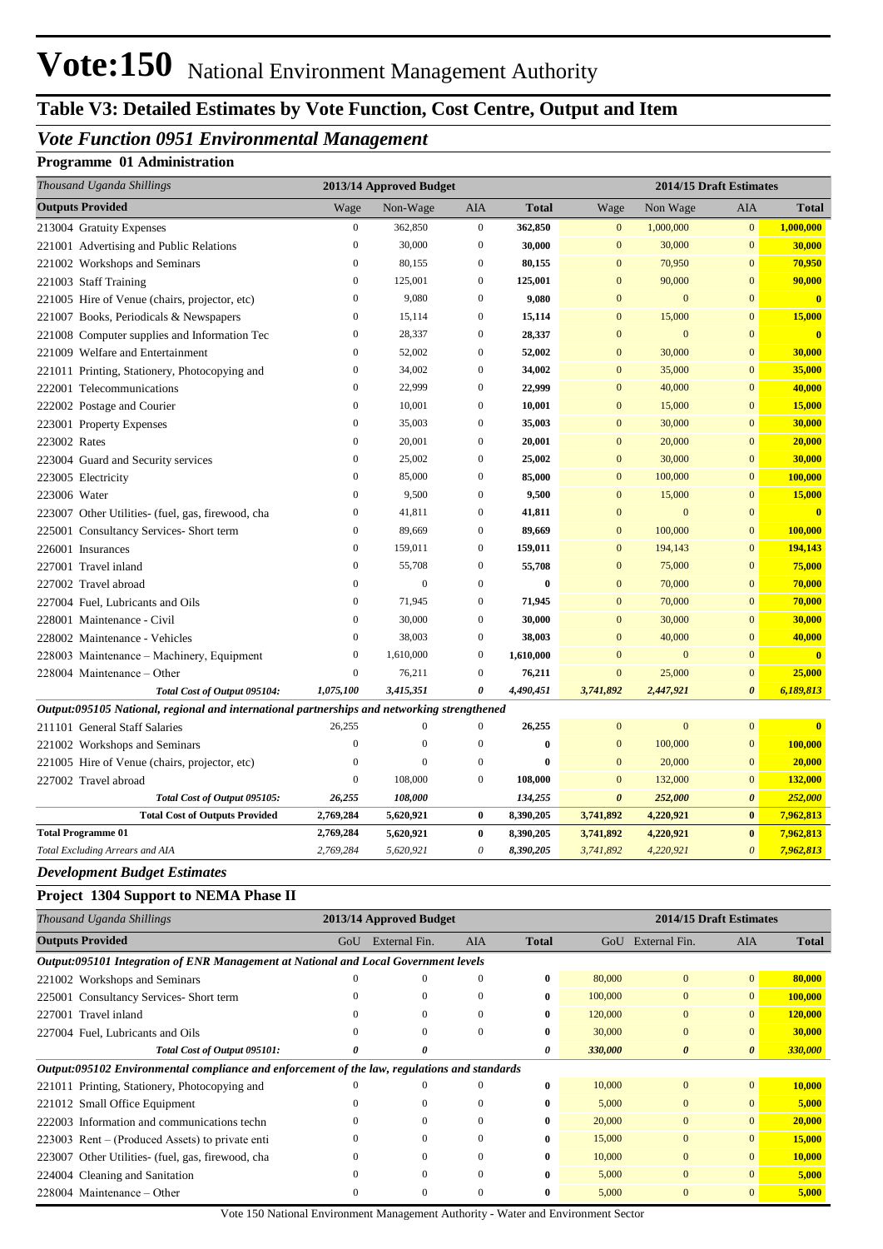## Vote:150 National Environment Management Authority

## **Table V3: Detailed Estimates by Vote Function, Cost Centre, Output and Item**

### *Vote Function 0951 Environmental Management*

#### **Programme 01 Administration**

| Thousand Uganda Shillings                                                                   | 2013/14 Approved Budget |                  |                  |              | 2014/15 Draft Estimates |                  |                       |                         |  |
|---------------------------------------------------------------------------------------------|-------------------------|------------------|------------------|--------------|-------------------------|------------------|-----------------------|-------------------------|--|
| <b>Outputs Provided</b>                                                                     | Wage                    | Non-Wage         | <b>AIA</b>       | <b>Total</b> | Wage                    | Non Wage         | AIA                   | <b>Total</b>            |  |
| 213004 Gratuity Expenses                                                                    | $\boldsymbol{0}$        | 362,850          | $\boldsymbol{0}$ | 362,850      | $\mathbf{0}$            | 1,000,000        | $\mathbf{0}$          | 1,000,000               |  |
| 221001 Advertising and Public Relations                                                     | $\mathbf{0}$            | 30,000           | $\boldsymbol{0}$ | 30,000       | $\mathbf{0}$            | 30,000           | $\mathbf{0}$          | 30,000                  |  |
| 221002 Workshops and Seminars                                                               | $\overline{0}$          | 80,155           | $\overline{0}$   | 80,155       | $\overline{0}$          | 70,950           | $\mathbf{0}$          | 70,950                  |  |
| 221003 Staff Training                                                                       | $\boldsymbol{0}$        | 125,001          | $\mathbf{0}$     | 125,001      | $\mathbf{0}$            | 90,000           | $\mathbf{0}$          | 90,000                  |  |
| 221005 Hire of Venue (chairs, projector, etc)                                               | $\overline{0}$          | 9,080            | $\mathbf{0}$     | 9,080        | $\overline{0}$          | $\mathbf{0}$     | $\Omega$              | $\overline{\mathbf{0}}$ |  |
| 221007 Books, Periodicals & Newspapers                                                      | $\boldsymbol{0}$        | 15,114           | $\boldsymbol{0}$ | 15,114       | $\mathbf{0}$            | 15,000           | $\mathbf{0}$          | 15,000                  |  |
| 221008 Computer supplies and Information Tec                                                | $\overline{0}$          | 28,337           | $\overline{0}$   | 28,337       | $\overline{0}$          | $\mathbf{0}$     | $\overline{0}$        | $\overline{\mathbf{0}}$ |  |
| 221009 Welfare and Entertainment                                                            | $\overline{0}$          | 52,002           | $\overline{0}$   | 52,002       | $\overline{0}$          | 30,000           | $\overline{0}$        | 30,000                  |  |
| 221011 Printing, Stationery, Photocopying and                                               | $\overline{0}$          | 34,002           | $\mathbf{0}$     | 34,002       | $\mathbf{0}$            | 35,000           | $\mathbf{0}$          | 35,000                  |  |
| 222001 Telecommunications                                                                   | $\overline{0}$          | 22,999           | $\Omega$         | 22,999       | $\overline{0}$          | 40,000           | $\overline{0}$        | 40,000                  |  |
| 222002 Postage and Courier                                                                  | $\boldsymbol{0}$        | 10,001           | $\boldsymbol{0}$ | 10,001       | $\mathbf{0}$            | 15,000           | $\mathbf{0}$          | 15,000                  |  |
| 223001 Property Expenses                                                                    | $\boldsymbol{0}$        | 35,003           | $\mathbf{0}$     | 35,003       | $\mathbf{0}$            | 30,000           | $\mathbf{0}$          | 30,000                  |  |
| 223002 Rates                                                                                | $\mathbf{0}$            | 20,001           | $\mathbf{0}$     | 20,001       | $\mathbf{0}$            | 20,000           | $\mathbf{0}$          | 20,000                  |  |
| 223004 Guard and Security services                                                          | $\mathbf{0}$            | 25,002           | $\mathbf{0}$     | 25,002       | $\overline{0}$          | 30,000           | $\mathbf{0}$          | 30,000                  |  |
| 223005 Electricity                                                                          | $\overline{0}$          | 85,000           | $\mathbf{0}$     | 85,000       | $\overline{0}$          | 100,000          | $\mathbf{0}$          | 100,000                 |  |
| 223006 Water                                                                                | $\mathbf{0}$            | 9,500            | $\overline{0}$   | 9,500        | $\mathbf{0}$            | 15,000           | $\overline{0}$        | 15,000                  |  |
| 223007 Other Utilities- (fuel, gas, firewood, cha                                           | $\mathbf{0}$            | 41,811           | $\overline{0}$   | 41,811       | $\overline{0}$          | $\mathbf{0}$     | $\mathbf{0}$          | $\mathbf{0}$            |  |
| 225001 Consultancy Services- Short term                                                     | $\boldsymbol{0}$        | 89,669           | $\mathbf{0}$     | 89,669       | $\overline{0}$          | 100,000          | $\mathbf{0}$          | 100,000                 |  |
| 226001 Insurances                                                                           | $\mathbf{0}$            | 159,011          | $\mathbf{0}$     | 159,011      | $\overline{0}$          | 194,143          | $\mathbf{0}$          | 194,143                 |  |
| 227001 Travel inland                                                                        | $\mathbf{0}$            | 55,708           | $\boldsymbol{0}$ | 55,708       | $\Omega$                | 75,000           | $\Omega$              | 75,000                  |  |
| 227002 Travel abroad                                                                        | $\boldsymbol{0}$        | $\boldsymbol{0}$ | $\boldsymbol{0}$ | $\bf{0}$     | $\mathbf{0}$            | 70,000           | $\mathbf{0}$          | 70,000                  |  |
| 227004 Fuel, Lubricants and Oils                                                            | $\overline{0}$          | 71,945           | $\mathbf{0}$     | 71,945       | $\mathbf{0}$            | 70,000           | $\mathbf{0}$          | 70,000                  |  |
| 228001 Maintenance - Civil                                                                  | $\overline{0}$          | 30,000           | $\mathbf{0}$     | 30,000       | $\mathbf{0}$            | 30,000           | $\mathbf{0}$          | 30,000                  |  |
| 228002 Maintenance - Vehicles                                                               | $\mathbf{0}$            | 38,003           | $\mathbf{0}$     | 38,003       | $\mathbf{0}$            | 40,000           | $\mathbf{0}$          | 40,000                  |  |
| 228003 Maintenance - Machinery, Equipment                                                   | $\boldsymbol{0}$        | 1,610,000        | $\boldsymbol{0}$ | 1,610,000    | $\mathbf{0}$            | $\boldsymbol{0}$ | $\mathbf{0}$          | $\overline{\mathbf{0}}$ |  |
| 228004 Maintenance - Other                                                                  | $\boldsymbol{0}$        | 76,211           | $\boldsymbol{0}$ | 76,211       | $\mathbf{0}$            | 25,000           | $\mathbf{0}$          | 25,000                  |  |
| Total Cost of Output 095104:                                                                | 1,075,100               | 3,415,351        | 0                | 4,490,451    | 3,741,892               | 2,447,921        | $\boldsymbol{\theta}$ | 6,189,813               |  |
| Output:095105 National, regional and international partnerships and networking strengthened |                         |                  |                  |              |                         |                  |                       |                         |  |
| 211101 General Staff Salaries                                                               | 26,255                  | $\boldsymbol{0}$ | $\mathbf{0}$     | 26,255       | $\overline{0}$          | $\mathbf{0}$     | $\mathbf{0}$          | $\mathbf{0}$            |  |
| 221002 Workshops and Seminars                                                               | $\mathbf{0}$            | $\overline{0}$   | $\boldsymbol{0}$ | $\bf{0}$     | $\mathbf{0}$            | 100,000          | $\mathbf{0}$          | 100,000                 |  |
| 221005 Hire of Venue (chairs, projector, etc)                                               | $\boldsymbol{0}$        | $\boldsymbol{0}$ | $\boldsymbol{0}$ | $\bf{0}$     | $\mathbf{0}$            | 20,000           | $\mathbf{0}$          | 20,000                  |  |
| 227002 Travel abroad                                                                        | $\overline{0}$          | 108,000          | $\mathbf{0}$     | 108,000      | $\overline{0}$          | 132,000          | $\mathbf{0}$          | 132,000                 |  |
| Total Cost of Output 095105:                                                                | 26,255                  | 108,000          |                  | 134,255      | $\boldsymbol{\theta}$   | 252,000          | $\boldsymbol{\theta}$ | 252,000                 |  |
| <b>Total Cost of Outputs Provided</b>                                                       | 2,769,284               | 5,620,921        | $\bf{0}$         | 8,390,205    | 3,741,892               | 4,220,921        | $\bf{0}$              | 7,962,813               |  |
| <b>Total Programme 01</b>                                                                   | 2,769,284               | 5,620,921        | $\bf{0}$         | 8,390,205    | 3,741,892               | 4,220,921        | $\bf{0}$              | 7,962,813               |  |
| Total Excluding Arrears and AIA                                                             | 2,769,284               | 5,620,921        | $\theta$         | 8,390,205    | 3,741,892               | 4,220,921        | $\boldsymbol{\theta}$ | 7,962,813               |  |

#### *Development Budget Estimates*

#### **Project 1304 Support to NEMA Phase II**

| Thousand Uganda Shillings                                                                    | 2013/14 Approved Budget |               |            |              | 2014/15 Draft Estimates |                       |                       |              |
|----------------------------------------------------------------------------------------------|-------------------------|---------------|------------|--------------|-------------------------|-----------------------|-----------------------|--------------|
| <b>Outputs Provided</b>                                                                      | GoU                     | External Fin. | <b>AIA</b> | <b>Total</b> | GoU                     | External Fin.         | <b>AIA</b>            | <b>Total</b> |
| Output:095101 Integration of ENR Management at National and Local Government levels          |                         |               |            |              |                         |                       |                       |              |
| 221002 Workshops and Seminars                                                                | $\theta$                | $\Omega$      | $\Omega$   | $\bf{0}$     | 80,000                  | $\mathbf{0}$          | $\mathbf{0}$          | 80,000       |
| 225001 Consultancy Services-Short term                                                       |                         | $\Omega$      | 0          | $\bf{0}$     | 100,000                 | $\mathbf{0}$          | $\overline{0}$        | 100,000      |
| 227001 Travel inland                                                                         | $\Omega$                | $\Omega$      | 0          | $\bf{0}$     | 120,000                 | $\mathbf{0}$          | $\Omega$              | 120,000      |
| 227004 Fuel, Lubricants and Oils                                                             | $\Omega$                | $\mathbf{0}$  | 0          | $\bf{0}$     | 30,000                  | $\mathbf{0}$          | $\Omega$              | 30,000       |
| Total Cost of Output 095101:                                                                 | 0                       | 0             |            | 0            | 330,000                 | $\boldsymbol{\theta}$ | $\boldsymbol{\theta}$ | 330,000      |
| Output:095102 Environmental compliance and enforcement of the law, regulations and standards |                         |               |            |              |                         |                       |                       |              |
| 221011 Printing, Stationery, Photocopying and                                                |                         | $\Omega$      |            | $\bf{0}$     | 10,000                  | $\mathbf{0}$          | $\mathbf{0}$          | 10,000       |
| 221012 Small Office Equipment                                                                |                         | $\Omega$      |            | $\bf{0}$     | 5,000                   | $\mathbf{0}$          | $\Omega$              | 5,000        |
| 222003 Information and communications techn                                                  | 0                       | $\Omega$      | $\Omega$   | $\bf{0}$     | 20,000                  | $\mathbf{0}$          | $\mathbf{0}$          | 20,000       |
| 223003 Rent – (Produced Assets) to private enti-                                             | 0                       | $\Omega$      | $\Omega$   | $\mathbf{0}$ | 15,000                  | $\Omega$              | $\Omega$              | 15,000       |
| 223007 Other Utilities- (fuel, gas, firewood, cha                                            | 0                       | $\Omega$      | 0          | $\mathbf{0}$ | 10,000                  | $\mathbf{0}$          | $\mathbf{0}$          | 10,000       |
| 224004 Cleaning and Sanitation                                                               | $\Omega$                | $\Omega$      |            | $\bf{0}$     | 5,000                   | $\mathbf{0}$          | $\Omega$              | 5,000        |
| $228004$ Maintenance – Other                                                                 |                         | $\Omega$      |            | 0            | 5,000                   | $\Omega$              | 0                     | 5,000        |